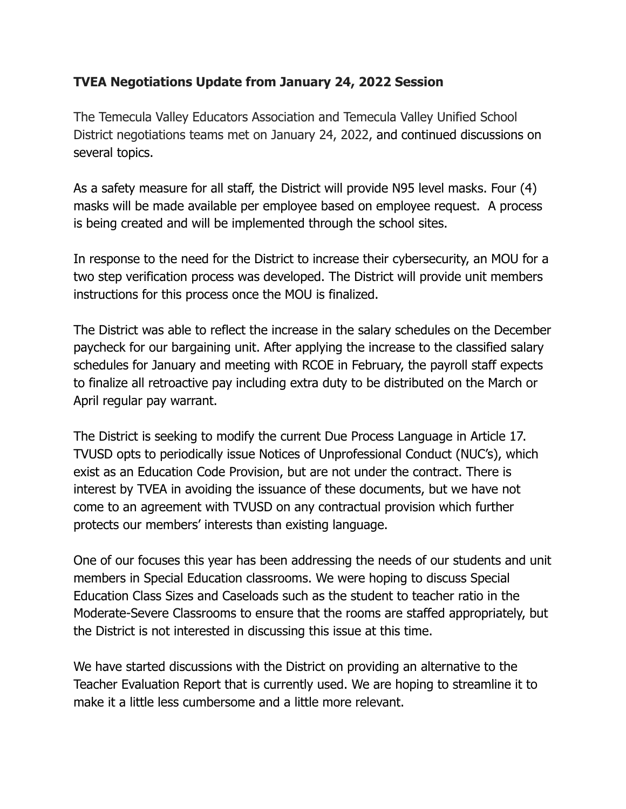## **TVEA Negotiations Update from January 24, 2022 Session**

The Temecula Valley Educators Association and Temecula Valley Unified School District negotiations teams met on January 24, 2022, and continued discussions on several topics.

As a safety measure for all staff, the District will provide N95 level masks. Four (4) masks will be made available per employee based on employee request. A process is being created and will be implemented through the school sites.

In response to the need for the District to increase their cybersecurity, an MOU for a two step verification process was developed. The District will provide unit members instructions for this process once the MOU is finalized.

The District was able to reflect the increase in the salary schedules on the December paycheck for our bargaining unit. After applying the increase to the classified salary schedules for January and meeting with RCOE in February, the payroll staff expects to finalize all retroactive pay including extra duty to be distributed on the March or April regular pay warrant.

The District is seeking to modify the current Due Process Language in Article 17. TVUSD opts to periodically issue Notices of Unprofessional Conduct (NUC's), which exist as an Education Code Provision, but are not under the contract. There is interest by TVEA in avoiding the issuance of these documents, but we have not come to an agreement with TVUSD on any contractual provision which further protects our members' interests than existing language.

One of our focuses this year has been addressing the needs of our students and unit members in Special Education classrooms. We were hoping to discuss Special Education Class Sizes and Caseloads such as the student to teacher ratio in the Moderate-Severe Classrooms to ensure that the rooms are staffed appropriately, but the District is not interested in discussing this issue at this time.

We have started discussions with the District on providing an alternative to the Teacher Evaluation Report that is currently used. We are hoping to streamline it to make it a little less cumbersome and a little more relevant.